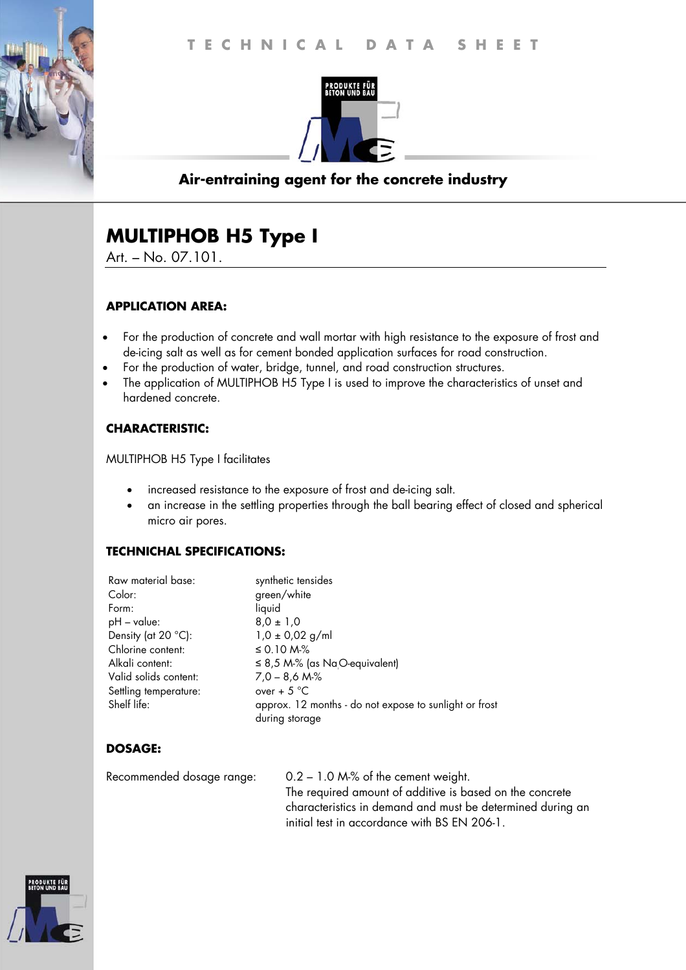

# **Air-entraining agent for the concrete industry**

# **MULTIPHOB H5 Type I**

Art. – No. 07.101.

#### **APPLICATION AREA:**

- For the production of concrete and wall mortar with high resistance to the exposure of frost and de-icing salt as well as for cement bonded application surfaces for road construction.
- For the production of water, bridge, tunnel, and road construction structures.
- The application of MULTIPHOB H5 Type I is used to improve the characteristics of unset and hardened concrete.

#### **CHARACTERISTIC:**

MULTIPHOB H5 Type I facilitates

- increased resistance to the exposure of frost and de-icing salt.
- an increase in the settling properties through the ball bearing effect of closed and spherical micro air pores.

#### **TECHNICHAL SPECIFICATIONS:**

| Raw material base:    | synthetic tensides                                     |
|-----------------------|--------------------------------------------------------|
| Color:                | green/white                                            |
| Form:                 | liquid                                                 |
| $pH - value$ :        | $8.0 \pm 1.0$                                          |
| Density (at 20 °C):   | $1,0 \pm 0,02$ g/ml                                    |
| Chlorine content:     | $\leq$ 0.10 M-%                                        |
| Alkali content:       | $\leq$ 8,5 M-% (as NaO-equivalent)                     |
| Valid solids content: | $7.0 - 8.6$ M-%                                        |
| Settling temperature: | over + $5^{\circ}$ C                                   |
| Shelf life:           | approx. 12 months - do not expose to sunlight or frost |
|                       | during storage                                         |
|                       |                                                        |

## **DOSAGE:**

Recommended dosage range: 0.2 – 1.0 M-% of the cement weight. The required amount of additive is based on the concrete characteristics in demand and must be determined during an initial test in accordance with BS EN 206-1.